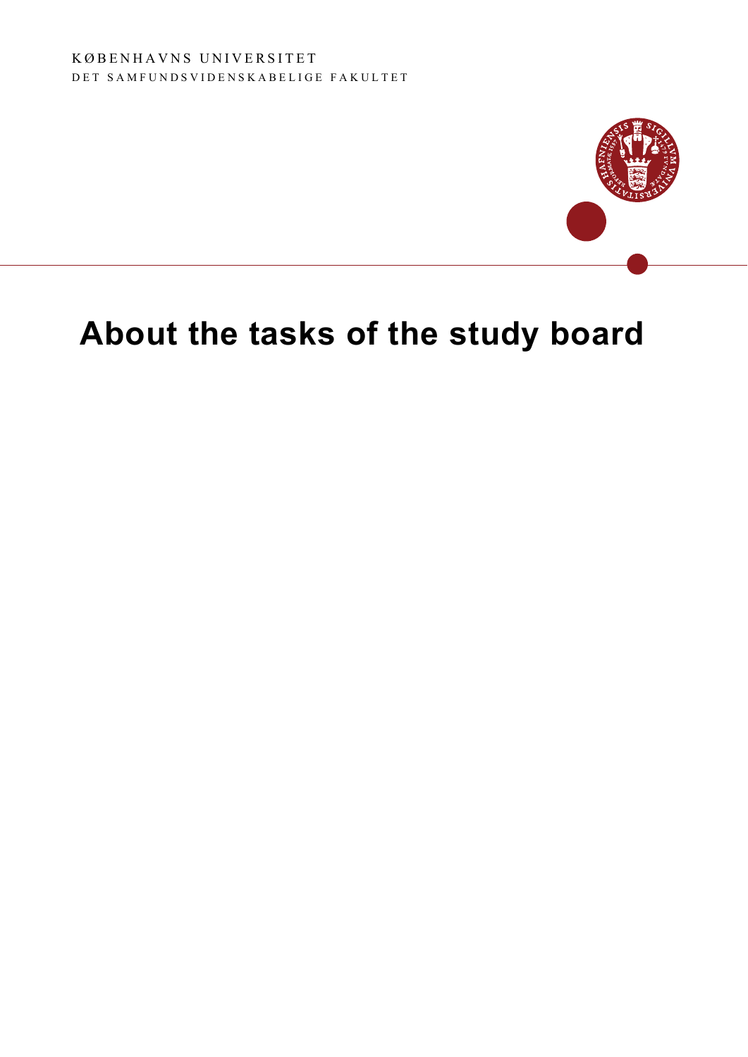

# **About the tasks of the study board**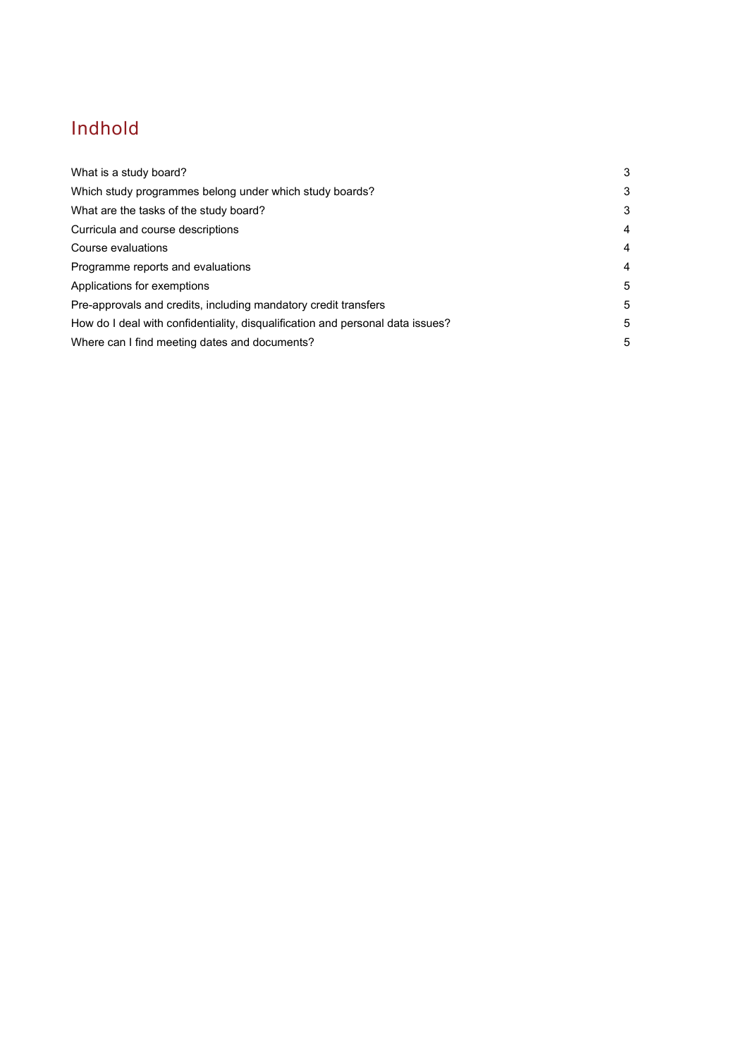# Indhold

| What is a study board?                                                         | 3 |
|--------------------------------------------------------------------------------|---|
| Which study programmes belong under which study boards?                        | 3 |
| What are the tasks of the study board?                                         | 3 |
| Curricula and course descriptions                                              | 4 |
| Course evaluations                                                             | 4 |
| Programme reports and evaluations                                              | 4 |
| Applications for exemptions                                                    | 5 |
| Pre-approvals and credits, including mandatory credit transfers                | 5 |
| How do I deal with confidentiality, disqualification and personal data issues? | 5 |
| Where can I find meeting dates and documents?                                  | 5 |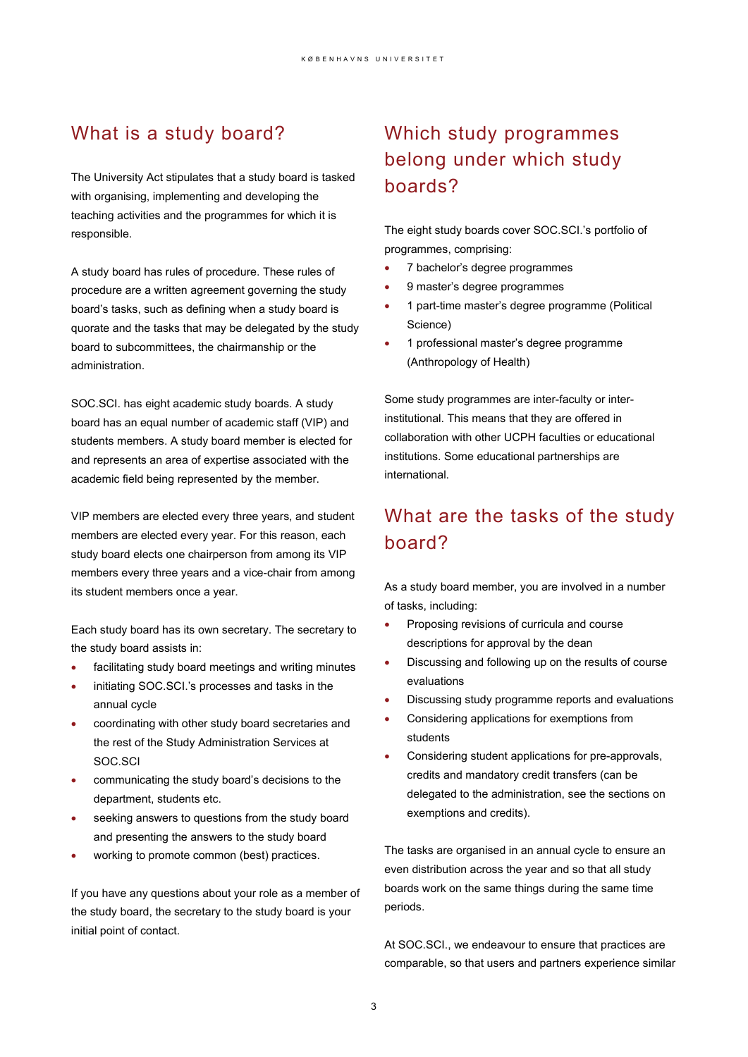### What is a study board?

The University Act stipulates that a study board is tasked with organising, implementing and developing the teaching activities and the programmes for which it is responsible.

A study board has rules of procedure. These rules of procedure are a written agreement governing the study board's tasks, such as defining when a study board is quorate and the tasks that may be delegated by the study board to subcommittees, the chairmanship or the administration.

SOC.SCI. has eight academic study boards. A study board has an equal number of academic staff (VIP) and students members. A study board member is elected for and represents an area of expertise associated with the academic field being represented by the member.

VIP members are elected every three years, and student members are elected every year. For this reason, each study board elects one chairperson from among its VIP members every three years and a vice-chair from among its student members once a year.

Each study board has its own secretary. The secretary to the study board assists in:

- facilitating study board meetings and writing minutes
- initiating SOC.SCI.'s processes and tasks in the annual cycle
- coordinating with other study board secretaries and the rest of the Study Administration Services at SOC.SCI
- communicating the study board's decisions to the department, students etc.
- seeking answers to questions from the study board and presenting the answers to the study board
- working to promote common (best) practices.

If you have any questions about your role as a member of the study board, the secretary to the study board is your initial point of contact.

### Which study programmes belong under which study boards?

The eight study boards cover SOC.SCI.'s portfolio of programmes, comprising:

- 7 bachelor's degree programmes
- 9 master's degree programmes
- 1 part-time master's degree programme (Political Science)
- 1 professional master's degree programme (Anthropology of Health)

Some study programmes are inter-faculty or interinstitutional. This means that they are offered in collaboration with other UCPH faculties or educational institutions. Some educational partnerships are international.

### What are the tasks of the study board?

As a study board member, you are involved in a number of tasks, including:

- Proposing revisions of curricula and course descriptions for approval by the dean
- Discussing and following up on the results of course evaluations
- Discussing study programme reports and evaluations
- Considering applications for exemptions from students
- Considering student applications for pre-approvals, credits and mandatory credit transfers (can be delegated to the administration, see the sections on exemptions and credits).

The tasks are organised in an annual cycle to ensure an even distribution across the year and so that all study boards work on the same things during the same time periods.

At SOC.SCI., we endeavour to ensure that practices are comparable, so that users and partners experience similar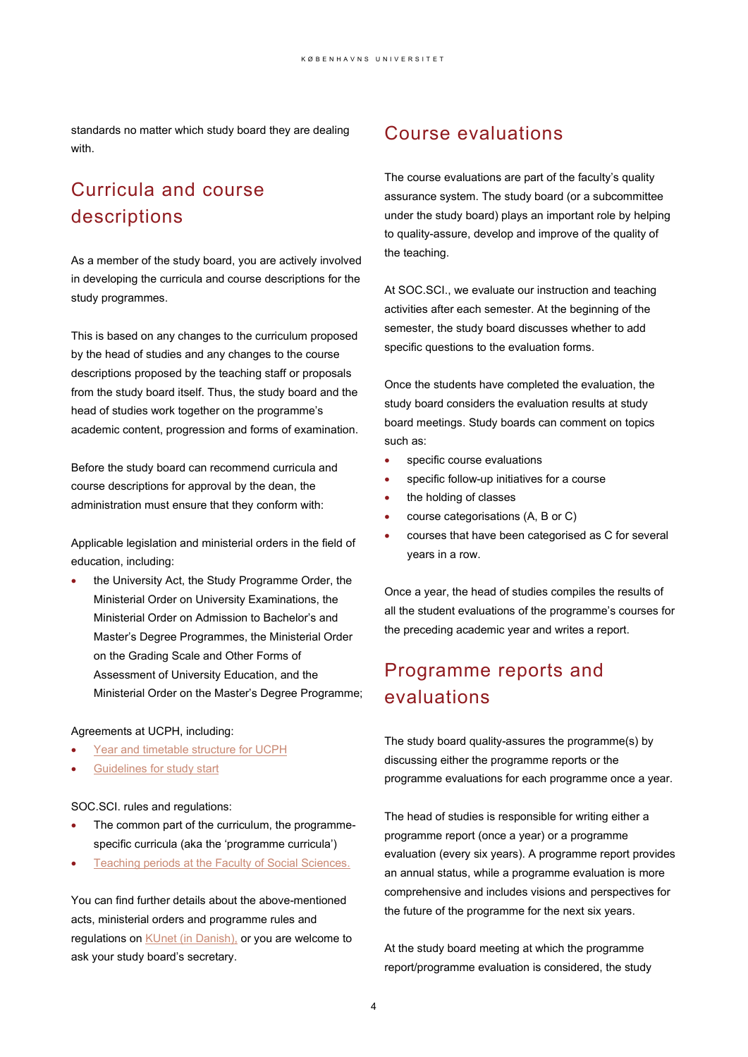standards no matter which study board they are dealing with.

### Curricula and course descriptions

As a member of the study board, you are actively involved in developing the curricula and course descriptions for the study programmes.

This is based on any changes to the curriculum proposed by the head of studies and any changes to the course descriptions proposed by the teaching staff or proposals from the study board itself. Thus, the study board and the head of studies work together on the programme's academic content, progression and forms of examination.

Before the study board can recommend curricula and course descriptions for approval by the dean, the administration must ensure that they conform with:

Applicable legislation and ministerial orders in the field of education, including:

the University Act, the Study Programme Order, the Ministerial Order on University Examinations, the Ministerial Order on Admission to Bachelor's and Master's Degree Programmes, the Ministerial Order on the Grading Scale and Other Forms of Assessment of University Education, and the Ministerial Order on the Master's Degree Programme;

#### Agreements at UCPH, including:

- [Year and timetable structure for UCPH](https://uddannelseskvalitet.ku.dk/quality-assurance-of-study-programmes/university-guidelines/)
- [Guidelines for study start](https://uddannelseskvalitet.ku.dk/quality-assurance-of-study-programmes/university-guidelines/)

#### SOC.SCI. rules and regulations:

- The common part of the curriculum, the programmespecific curricula (aka the 'programme curricula')
- [Teaching periods at the Faculty of Social Sciences.](https://kunet.ku.dk/faculty-and-department/socialscience/education_and_teaching/Pages/default.aspx)

You can find further details about the above-mentioned acts, ministerial orders and programme rules and regulations on **KUnet (in Danish)**, or you are welcome to ask your study board's secretary.

### Course evaluations

The course evaluations are part of the faculty's quality assurance system. The study board (or a subcommittee under the study board) plays an important role by helping to quality-assure, develop and improve of the quality of the teaching.

At SOC.SCI., we evaluate our instruction and teaching activities after each semester. At the beginning of the semester, the study board discusses whether to add specific questions to the evaluation forms.

Once the students have completed the evaluation, the study board considers the evaluation results at study board meetings. Study boards can comment on topics such as:

- specific course evaluations
- specific follow-up initiatives for a course
- the holding of classes
- course categorisations (A, B or C)
- courses that have been categorised as C for several years in a row.

Once a year, the head of studies compiles the results of all the student evaluations of the programme's courses for the preceding academic year and writes a report.

### Programme reports and evaluations

The study board quality-assures the programme(s) by discussing either the programme reports or the programme evaluations for each programme once a year.

The head of studies is responsible for writing either a programme report (once a year) or a programme evaluation (every six years). A programme report provides an annual status, while a programme evaluation is more comprehensive and includes visions and perspectives for the future of the programme for the next six years.

At the study board meeting at which the programme report/programme evaluation is considered, the study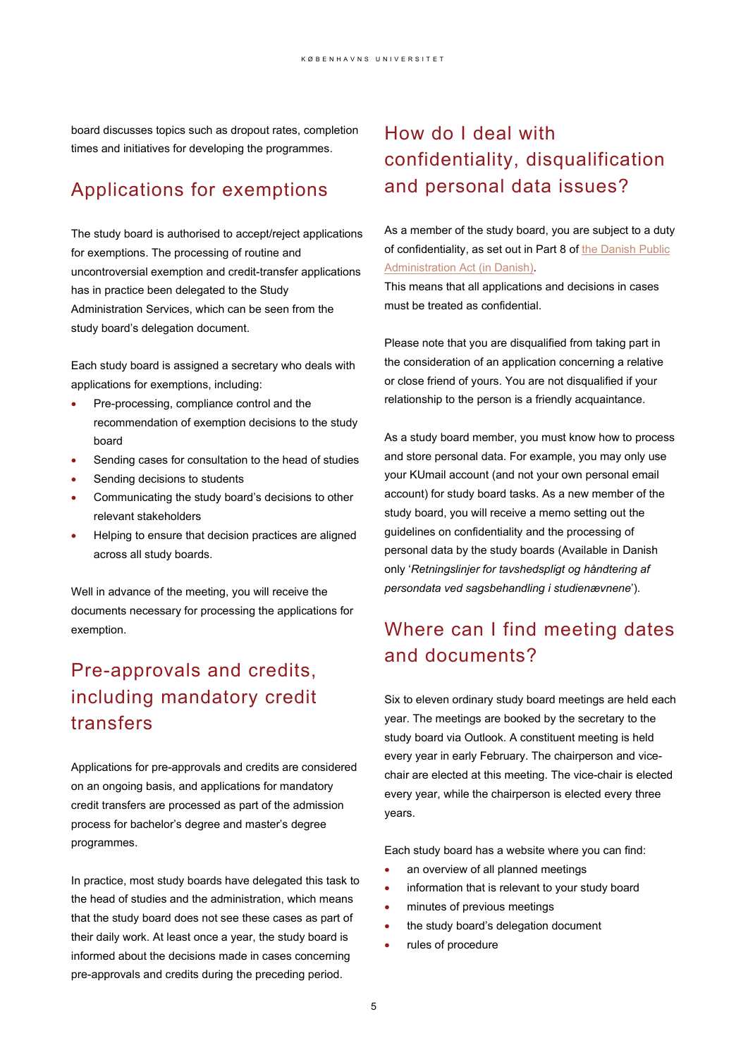board discusses topics such as dropout rates, completion times and initiatives for developing the programmes.

### Applications for exemptions

The study board is authorised to accept/reject applications for exemptions. The processing of routine and uncontroversial exemption and credit-transfer applications has in practice been delegated to the Study Administration Services, which can be seen from the study board's delegation document.

Each study board is assigned a secretary who deals with applications for exemptions, including:

- Pre-processing, compliance control and the recommendation of exemption decisions to the study board
- Sending cases for consultation to the head of studies
- Sending decisions to students
- Communicating the study board's decisions to other relevant stakeholders
- Helping to ensure that decision practices are aligned across all study boards.

Well in advance of the meeting, you will receive the documents necessary for processing the applications for exemption.

## Pre-approvals and credits, including mandatory credit transfers

Applications for pre-approvals and credits are considered on an ongoing basis, and applications for mandatory credit transfers are processed as part of the admission process for bachelor's degree and master's degree programmes.

In practice, most study boards have delegated this task to the head of studies and the administration, which means that the study board does not see these cases as part of their daily work. At least once a year, the study board is informed about the decisions made in cases concerning pre-approvals and credits during the preceding period.

### How do I deal with confidentiality, disqualification and personal data issues?

As a member of the study board, you are subject to a duty of confidentiality, as set out in Part 8 of the Danish Public [Administration Act](https://www.retsinformation.dk/eli/lta/2014/433) (in Danish).

This means that all applications and decisions in cases must be treated as confidential.

Please note that you are disqualified from taking part in the consideration of an application concerning a relative or close friend of yours. You are not disqualified if your relationship to the person is a friendly acquaintance.

As a study board member, you must know how to process and store personal data. For example, you may only use your KUmail account (and not your own personal email account) for study board tasks. As a new member of the study board, you will receive a memo setting out the guidelines on confidentiality and the processing of personal data by the study boards (Available in Danish only '*Retningslinjer for tavshedspligt og håndtering af persondata ved sagsbehandling i studienævnene*').

## Where can I find meeting dates and documents?

Six to eleven ordinary study board meetings are held each year. The meetings are booked by the secretary to the study board via Outlook. A constituent meeting is held every year in early February. The chairperson and vicechair are elected at this meeting. The vice-chair is elected every year, while the chairperson is elected every three years.

Each study board has a website where you can find:

- an overview of all planned meetings
- information that is relevant to your study board
- minutes of previous meetings
- the study board's delegation document
- rules of procedure